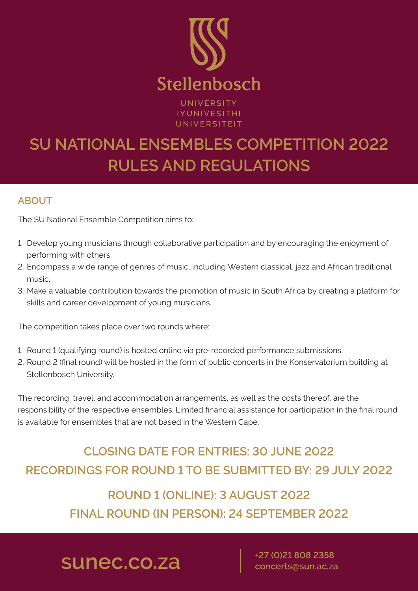

UNIVERSITY **IYUNIVESITHI** UNIVERSITEIT

# **+27 (0)21 808 2358 sunec.co.za concerts@sun.ac.za**

# **SU NATIONAL ENSEMBLES COMPETITION 2022 RULES AND REGULATIONS**

## **ABOUT**

The SU National Ensemble Competition aims to:

- 1. Develop young musicians through collaborative participation and by encouraging the enjoyment of performing with others.
- 2. Encompass a wide range of genres of music, including Western classical, jazz and African traditional music.
- 3. Make a valuable contribution towards the promotion of music in South Africa by creating a platform for skills and career development of young musicians.

The competition takes place over two rounds where:

- 1. Round 1 (qualifying round) is hosted online via pre-recorded performance submissions.
- 2. Round 2 (final round) will be hosted in the form of public concerts in the Konservatorium building at Stellenbosch University.

The recording, travel, and accommodation arrangements, as well as the costs thereof, are the responsibility of the respective ensembles. Limited financial assistance for participation in the final round is available for ensembles that are not based in the Western Cape.

## **CLOSING DATE FOR ENTRIES: 30 JUNE 2022**

## **RECORDINGS FOR ROUND 1 TO BE SUBMITTED BY: 29 JULY 2022**

## **ROUND 1 (ONLINE): 3 AUGUST 2022**

## **FINAL ROUND (IN PERSON): 24 SEPTEMBER 2022**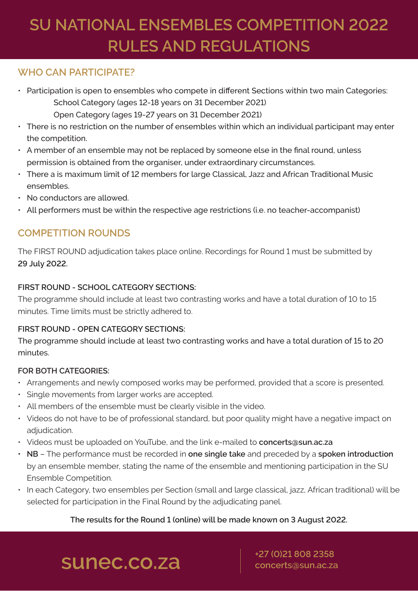## **sunec.co.za concerts@sun.ac.za**

# **SU NATIONAL ENSEMBLES COMPETITION 2022 RULES AND REGULATIONS**

## **WHO CAN PARTICIPATE?**

- Participation is open to ensembles who compete in different Sections within two main Categories: School Category (ages 12-18 years on 31 December 2021) Open Category (ages 19-27 years on 31 December 2021)
- There is no restriction on the number of ensembles within which an individual participant may enter the competition.
- A member of an ensemble may not be replaced by someone else in the final round, unless permission is obtained from the organiser, under extraordinary circumstances.
- There a is maximum limit of 12 members for large Classical, Jazz and African Traditional Music ensembles.
- No conductors are allowed.
- All performers must be within the respective age restrictions (i.e. no teacher-accompanist)

## **COMPETITION ROUNDS**

The FIRST ROUND adjudication takes place online. Recordings for Round 1 must be submitted by **29 July 2022.**

### **FIRST ROUND - SCHOOL CATEGORY SECTIONS:**

The programme should include at least two contrasting works and have a total duration of 10 to 15 minutes. Time limits must be strictly adhered to.

## **FIRST ROUND - OPEN CATEGORY SECTIONS:**

The programme should include at least two contrasting works and have a total duration of 15 to 20 minutes.

## **FOR BOTH CATEGORIES:**

- Arrangements and newly composed works may be performed, provided that a score is presented.
- Single movements from larger works are accepted.
- All members of the ensemble must be clearly visible in the video.
- Videos do not have to be of professional standard, but poor quality might have a negative impact on adjudication.
- Videos must be uploaded on YouTube, and the link e-mailed to **concerts@sun.ac.za**
- **• NB** The performance must be recorded in **one single take** and preceded by a **spoken introduction** by an ensemble member, stating the name of the ensemble and mentioning participation in the SU Ensemble Competition.
- In each Category, two ensembles per Section (small and large classical, jazz, African traditional) will be selected for participation in the Final Round by the adjudicating panel.

### **The results for the Round 1 (online) will be made known on 3 August 2022.**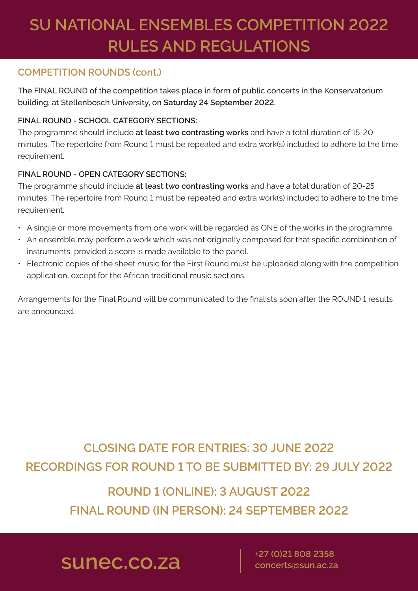## **sunec.co.za concerts@sun.ac.za**

# **SU NATIONAL ENSEMBLES COMPETITION 2022 RULES AND REGULATIONS**

## **COMPETITION ROUNDS (cont.)**

The FINAL ROUND of the competition takes place in form of public concerts in the Konservatorium building, at Stellenbosch University, on **Saturday 24 September 2022.** 

### **FINAL ROUND - SCHOOL CATEGORY SECTIONS:**

The programme should include **at least two contrasting works** and have a total duration of 15-20 minutes. The repertoire from Round 1 must be repeated and extra work(s) included to adhere to the time requirement.

### **FINAL ROUND - OPEN CATEGORY SECTIONS:**

The programme should include **at least two contrasting works** and have a total duration of 20-25 minutes. The repertoire from Round 1 must be repeated and extra work(s) included to adhere to the time requirement.

- A single or more movements from one work will be regarded as ONE of the works in the programme.
- An ensemble may perform a work which was not originally composed for that specific combination of instruments, provided a score is made available to the panel.
- Electronic copies of the sheet music for the First Round must be uploaded along with the competition application, except for the African traditional music sections.

Arrangements for the Final Round will be communicated to the finalists soon after the ROUND 1 results are announced.

## **CLOSING DATE FOR ENTRIES: 30 JUNE 2022**

## **RECORDINGS FOR ROUND 1 TO BE SUBMITTED BY: 29 JULY 2022**

## **ROUND 1 (ONLINE): 3 AUGUST 2022 FINAL ROUND (IN PERSON): 24 SEPTEMBER 2022**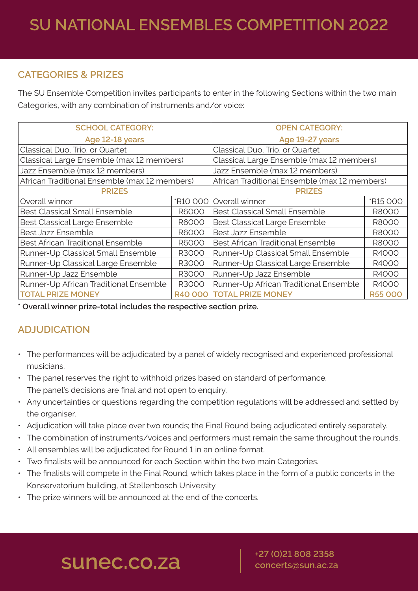## **sunec.co.za concerts@sun.ac.za**

# **SU NATIONAL ENSEMBLES COMPETITION 2022**

## **CATEGORIES & PRIZES**

The SU Ensemble Competition invites participants to enter in the following Sections within the two main Categories, with any combination of instruments and/or voice:

| <b>SCHOOL CATEGORY:</b>                       |                | <b>OPEN CATEGORY:</b>                         |                 |
|-----------------------------------------------|----------------|-----------------------------------------------|-----------------|
| Age 12-18 years                               |                | Age 19-27 years                               |                 |
| Classical Duo, Trio, or Quartet               |                | Classical Duo, Trio, or Quartet               |                 |
| Classical Large Ensemble (max 12 members)     |                | Classical Large Ensemble (max 12 members)     |                 |
| Jazz Ensemble (max 12 members)                |                | Jazz Ensemble (max 12 members)                |                 |
| African Traditional Ensemble (max 12 members) |                | African Traditional Ensemble (max 12 members) |                 |
| <b>PRIZES</b>                                 |                | <b>PRIZES</b>                                 |                 |
| Overall winner                                |                | *R10 000   Overall winner                     | <b>*R15 000</b> |
| <b>Best Classical Small Ensemble</b>          | <b>R6000</b>   | <b>Best Classical Small Ensemble</b>          | <b>R8000</b>    |
| <b>Best Classical Large Ensemble</b>          | <b>R6000</b>   | <b>Best Classical Large Ensemble</b>          | <b>R8000</b>    |
| <b>Best Jazz Ensemble</b>                     | <b>R6000</b>   | <b>Best Jazz Ensemble</b>                     | <b>R8000</b>    |
| <b>Best African Traditional Ensemble</b>      | <b>R6000</b>   | <b>Best African Traditional Ensemble</b>      | <b>R8000</b>    |
| Runner-Up Classical Small Ensemble            | <b>R3000</b>   | Runner-Up Classical Small Ensemble            | R4000           |
| Runner-Up Classical Large Ensemble            | R3000          | Runner-Up Classical Large Ensemble            | R4000           |
| Runner-Up Jazz Ensemble                       | R3000          | Runner-Up Jazz Ensemble                       | R4000           |
| Runner-Up African Traditional Ensemble        | <b>R3000</b>   | Runner-Up African Traditional Ensemble        | R4000           |
| <b>TOTAL PRIZE MONEY</b>                      | <b>R40 000</b> | <b>TOTAL PRIZE MONEY</b>                      | <b>R55 000</b>  |

**\* Overall winner prize-total includes the respective section prize.**

## **ADJUDICATION**

- The performances will be adjudicated by a panel of widely recognised and experienced professional musicians.
- The panel reserves the right to withhold prizes based on standard of performance. The panel's decisions are final and not open to enquiry.
- Any uncertainties or questions regarding the competition regulations will be addressed and settled by the organiser.
- Adjudication will take place over two rounds; the Final Round being adjudicated entirely separately.
- The combination of instruments/voices and performers must remain the same throughout the rounds.
- All ensembles will be adjudicated for Round 1 in an online format.
- Two finalists will be announced for each Section within the two main Categories.
- The finalists will compete in the Final Round, which takes place in the form of a public concerts in the Konservatorium building, at Stellenbosch University.
- The prize winners will be announced at the end of the concerts.